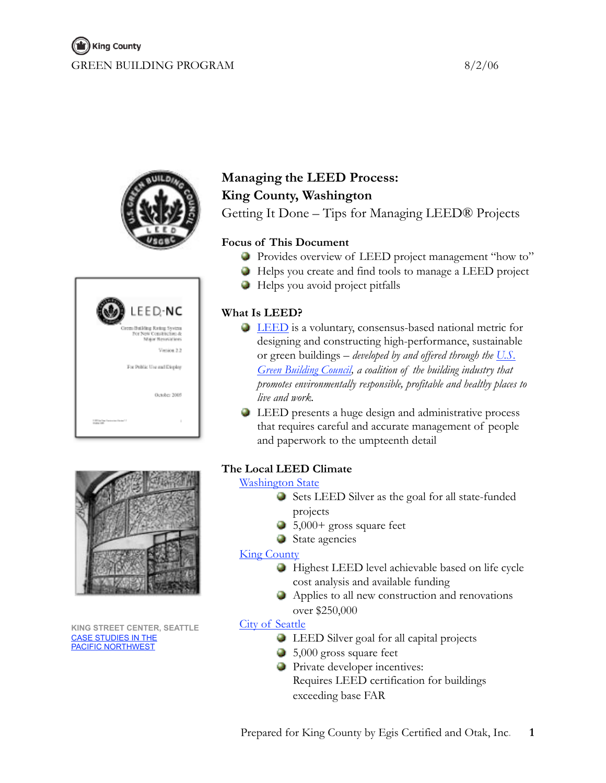







**KING STREET CENTER, SEATTLE** [CASE STUDIES IN THE](http://www.usgbc.org/chapters/cascadia/Case_Studies.asp) [PACIFIC NORTHWEST](http://www.usgbc.org/chapters/cascadia/Case_Studies.asp)

## **Managing the LEED Process: King County, Washington**

Getting It Done – Tips for Managing LEED® Projects

## **Focus of This Document**

- Provides overview of LEED project management "how to"
- Helps you create and find tools to manage a LEED project
- Helps you avoid project pitfalls

## **What Is LEED?**

- **LEED** is a voluntary, consensus-based national metric for designing and constructing high-performance, sustainable or green buildings – *developed by and offered through the [U.S.](http://www.usgbc.org)  [Green Building Council](http://www.usgbc.org), a coalition of the building industry that promotes environmentally responsible, profitable and healthy places to live and work.*
- LEED presents a huge design and administrative process that requires careful and accurate management of people and paperwork to the umpteenth detail

## **The Local LEED Climate**

## **[Washington State](http://www.governor.wa.gov/actions/orders/eoarchive/eo05-01.htm)**

- Sets LEED Silver as the goal for all state-funded projects
- $\bullet$  5,000+ gross square feet
- State agencies

## **[King County](http://www.metrokc.gov/recelec/archives/policies/fes93aep.htm)**

- Highest LEED level achievable based on life cycle cost analysis and available funding
- Applies to all new construction and renovations over \$250,000

## **[City of Seattle](http://www.ci.seattle.wa.us/sustainablebuilding/SBpolicy.htm)**

- LEED Silver goal for all capital projects
- 5,000 gross square feet
- **Private developer incentives:** Requires LEED certification for buildings exceeding base FAR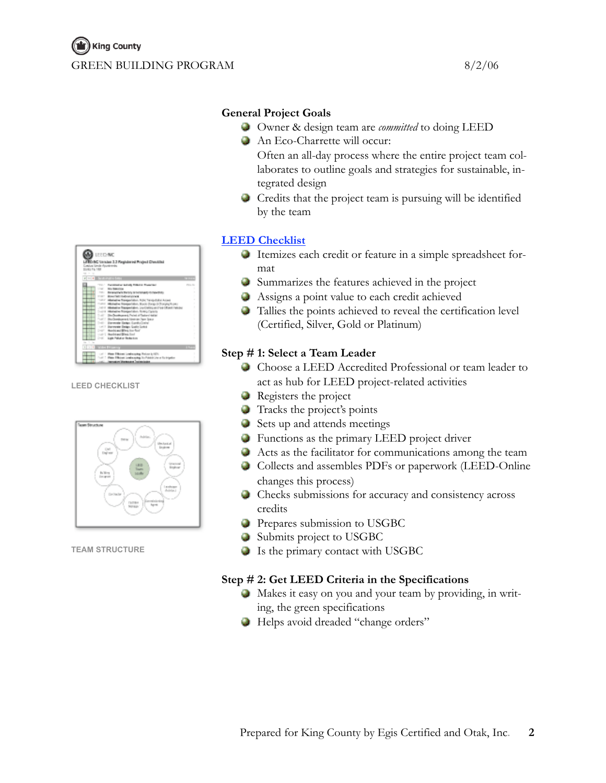

**LEED CHECKLIST**



**TEAM STRUCTURE**

## **General Project Goals**

- Owner & design team are *committed* to doing LEED
	- An Eco-Charrette will occur:
		- Often an all-day process where the entire project team collaborates to outline goals and strategies for sustainable, integrated design
	- Credits that the project team is pursuing will be identified by the team

## **[LEED Checklist](http://www.usgbc.org/DisplayPage.aspx?CMSPageID=222&)**

- Itemizes each credit or feature in a simple spreadsheet format
- Summarizes the features achieved in the project
- Assigns a point value to each credit achieved
- Tallies the points achieved to reveal the certification level (Certified, Silver, Gold or Platinum)

## **Step # 1: Select a Team Leader**

- Choose a LEED Accredited Professional or team leader to act as hub for LEED project-related activities
- **Registers the project**
- Tracks the project's points
- Sets up and attends meetings
- **Functions as the primary LEED project driver**
- Acts as the facilitator for communications among the team
- Collects and assembles PDFs or paperwork (LEED-Online changes this process)
- Checks submissions for accuracy and consistency across credits
- **Prepares submission to USGBC**
- Submits project to USGBC
- Is the primary contact with USGBC

## **Step # 2: Get LEED Criteria in the Specifications**

- Makes it easy on you and your team by providing, in writing, the green specifications
- Helps avoid dreaded "change orders"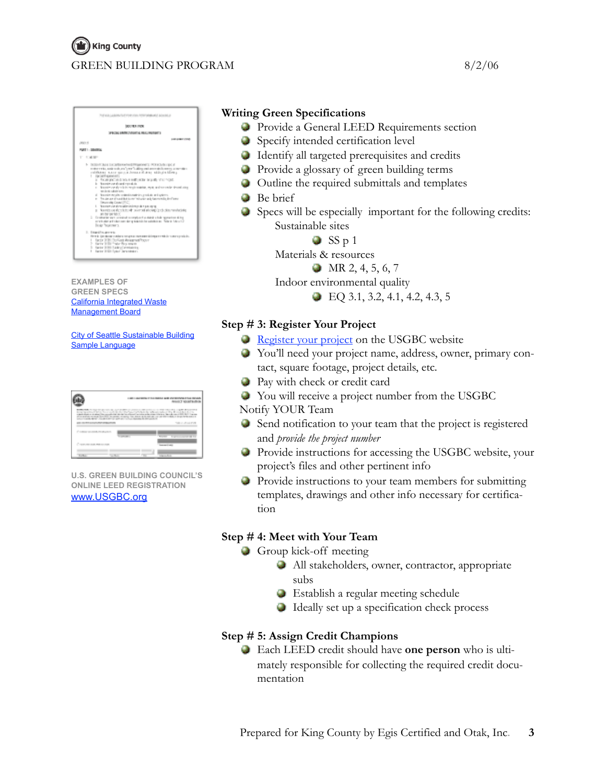# **M**) King County GREEN BUILDING PROGRAM 8/2/06



**EXAMPLES OF GREEN SPECS** [California Integrated Waste](http://www.ciwmb.ca.gov/Greenbuilding/Specs/)  [Management Board](http://www.ciwmb.ca.gov/Greenbuilding/Specs/)

[City of Seattle Sustainable Building](http://www.ci.seattle.wa.us/sustainablebuilding/Leeds/sample_language.htm)  [Sample Language](http://www.ci.seattle.wa.us/sustainablebuilding/Leeds/sample_language.htm)

|                                                                                                                                                                                                                                                                                                                                                                                                |                   | USE LAURENT TO SHALL ARE EVERYWAY FOR T<br><b>Brook T Wrate and Avenue</b> |
|------------------------------------------------------------------------------------------------------------------------------------------------------------------------------------------------------------------------------------------------------------------------------------------------------------------------------------------------------------------------------------------------|-------------------|----------------------------------------------------------------------------|
| <b>BORN R.R. FOOD AND COLLECT.</b><br>for a child but to control. In his printers as a second by Fred Editor<br>a device since a risk street the concession of the device.<br>plan angles recount for \$900 to contact respiring that show on the construction of the conductor for an inches<br>LALLY STERL BEREV TRULB A SERVICE CORPORATION AT MATERIAL BY SHE LATER IN<br>LOS BRIDGES AREA |                   | a color a de como color a 1 de cubros<br>TALL ALL PA                       |
| FILMING VALUES & PARK LOANS                                                                                                                                                                                                                                                                                                                                                                    | <b>CONTRACTOR</b> |                                                                            |
| <b>Contract on the first product</b>                                                                                                                                                                                                                                                                                                                                                           |                   | <b>CONTRACTOR</b>                                                          |
| <b>TELESCO</b><br>$-1.1$                                                                                                                                                                                                                                                                                                                                                                       |                   | <b>Service</b>                                                             |

**U.S. GREEN BUILDING COUNCIL'S ONLINE LEED REGISTRATION** [www.USGBC.org](http://www.usgbc.org/)

## **Writing Green Specifications**

- **Provide a General LEED Requirements section**
- Specify intended certification level
- Identify all targeted prerequisites and credits
- **Provide a glossary of green building terms**
- Outline the required submittals and templates
- **B**e brief
- Specs will be especially important for the following credits: Sustainable sites

 $SSp1$ 

Materials & resources

 $\bullet$  MR 2, 4, 5, 6, 7

Indoor environmental quality

 $\bullet$  EQ 3.1, 3.2, 4.1, 4.2, 4.3, 5

## **Step # 3: Register Your Project**

- **[Register your project](http://www.usgbc.org/DisplayPage.aspx?CMSPageID=65&) on the USGBC website**
- You'll need your project name, address, owner, primary contact, square footage, project details, etc.
- Pay with check or credit card
- You will receive a project number from the USGBC

Notify YOUR Team

- Send notification to your team that the project is registered and *provide the project number*
- Provide instructions for accessing the USGBC website, your project's files and other pertinent info
- **Provide instructions to your team members for submitting** templates, drawings and other info necessary for certification

## **Step # 4: Meet with Your Team**

- Group kick-off meeting
	- All stakeholders, owner, contractor, appropriate subs
	- Establish a regular meeting schedule
	- Ideally set up a specification check process

## **Step # 5: Assign Credit Champions**

Each LEED credit should have **one person** who is ultimately responsible for collecting the required credit documentation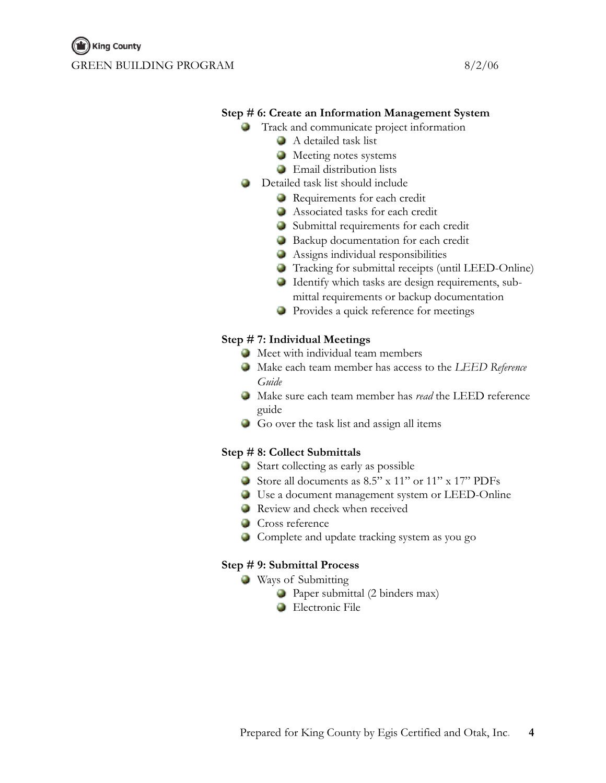## **Step # 6: Create an Information Management System**

- Track and communicate project information
	- A detailed task list
	- **Meeting notes systems**
	- **Email distribution lists**
- **Detailed task list should include** 
	- Requirements for each credit
	- Associated tasks for each credit
	- Submittal requirements for each credit
	- Backup documentation for each credit
	- Assigns individual responsibilities
	- Tracking for submittal receipts (until LEED-Online)
	- Identify which tasks are design requirements, submittal requirements or backup documentation
	- Provides a quick reference for meetings

## **Step # 7: Individual Meetings**

- Meet with individual team members
- Make each team member has access to the *LEED Reference Guide*
- Make sure each team member has *read* the LEED reference guide
- Go over the task list and assign all items

## **Step # 8: Collect Submittals**

- Start collecting as early as possible
- Store all documents as 8.5" x 11" or 11" x 17" PDFs
- Use a document management system or LEED-Online
- **Review and check when received**
- **Cross reference**
- Complete and update tracking system as you go

#### **Step # 9: Submittal Process**

- **Ways of Submitting** 
	- Paper submittal (2 binders max)
	- **Electronic File**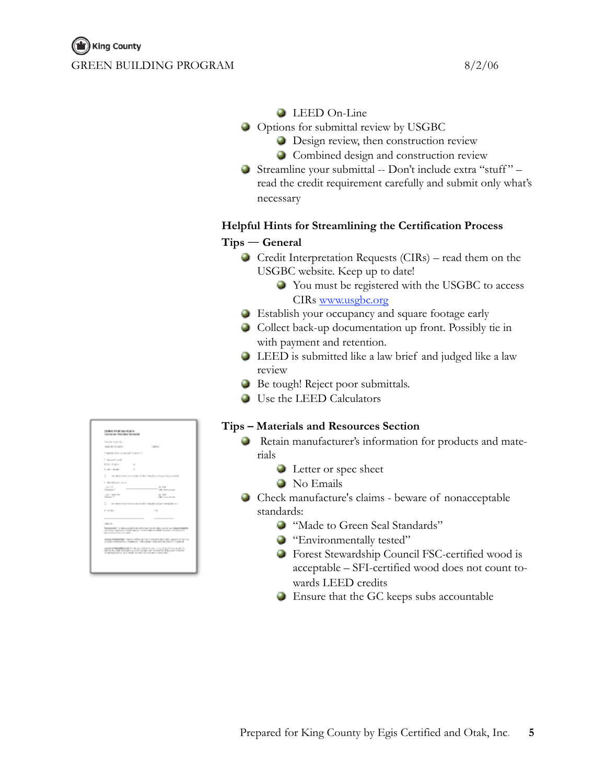## **LEED** On-Line

- Options for submittal review by USGBC
	- **Design review, then construction review**
	- Combined design and construction review
- Streamline your submittal -- Don't include extra "stuff " read the credit requirement carefully and submit only what's necessary

## **Helpful Hints for Streamlining the Certification Process**

## **Tips ― General**

- Credit Interpretation Requests (CIRs) read them on the USGBC website. Keep up to date!
	- You must be registered with the USGBC to access CIRs [www.usgbc.org](http://www.usgbc.org/)
- Establish your occupancy and square footage early
- Collect back-up documentation up front. Possibly tie in with payment and retention.
- LEED is submitted like a law brief and judged like a law review
- **Be tough! Reject poor submittals.**
- Use the LEED Calculators

## **Tips – Materials and Resources Section**

- Retain manufacturer's information for products and materials
	- **Letter or spec sheet**
	- No Emails
- Check manufacture's claims beware of nonacceptable standards:
	- **Wade to Green Seal Standards**"
	- **Environmentally tested"**
	- Forest Stewardship Council FSC-certified wood is acceptable – SFI-certified wood does not count towards LEED credits
	- Ensure that the GC keeps subs accountable